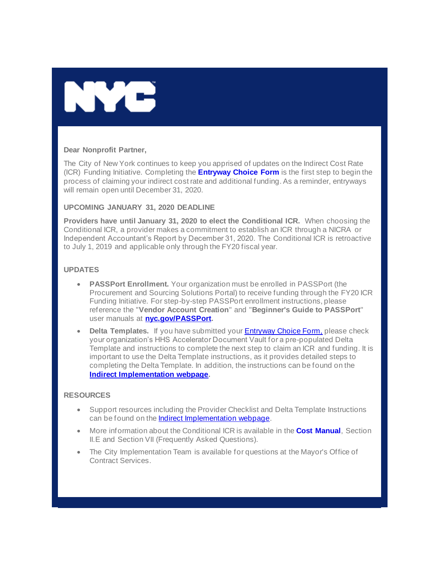

### **Dear Nonprofit Partner,**

The City of New York continues to keep you apprised of updates on the Indirect Cost Rate (ICR) Funding Initiative. Completing the **Entryway [Choice Form](https://gcc01.safelinks.protection.outlook.com/?url=https%3A%2F%2Fwww1.nyc.gov%2Fsite%2Fnonprofits%2Ffunded-providers%2Findirect-entryway-choice-form.page%3Futm_medium%3Demail%26utm_source%3Dgovdelivery&data=02%7C01%7Coluwa.small%40mocs.nyc.gov%7Cd33d886eb88e44b241aa08d7938ac3c5%7C32f56fc75f814e22a95b15da66513bef%7C0%7C0%7C637140096582579618&sdata=shoL%2Bh5Z%2BoD%2Bo8B7XQHzLuZWSinbI%2FhD7PsIVOPCzOY%3D&reserved=0)** is the first step to begin the process of claiming your indirect cost rate and additional funding. As a reminder, entryways will remain open until December 31, 2020.

### **UPCOMING JANUARY 31, 2020 DEADLINE**

**Providers have until January 31, 2020 to elect the Conditional ICR.** When choosing the Conditional ICR, a provider makes a commitment to establish an ICR through a NICRA or Independent Accountant's Report by December 31, 2020. The Conditional ICR is retroactive to July 1, 2019 and applicable only through the FY20 fiscal year.

## **UPDATES**

- **PASSPort Enrollment.** Your organization must be enrolled in PASSPort (the Procurement and Sourcing Solutions Portal) to receive funding through the FY20 ICR Funding Initiative. For step-by-step PASSPort enrollment instructions, please reference the "**Vendor Account Creation**" and "**Beginner's Guide to PASSPort**" user manuals at **[nyc.gov/PASSPort.](https://gcc01.safelinks.protection.outlook.com/?url=https%3A%2F%2Fwww1.nyc.gov%2Fsite%2Fmocs%2Fsystems%2Fpassport-user-materials.page%3Futm_medium%3Demail%26utm_source%3Dgovdelivery&data=02%7C01%7Coluwa.small%40mocs.nyc.gov%7Cd33d886eb88e44b241aa08d7938ac3c5%7C32f56fc75f814e22a95b15da66513bef%7C0%7C0%7C637140096582589572&sdata=BfLbFEBu98GoV9vUgb2JQgMRxu7os7es2zPVF7j0vNQ%3D&reserved=0)**
- **Delta Templates.** If you have submitted your **[Entryway Choice Form](https://gcc01.safelinks.protection.outlook.com/?url=https%3A%2F%2Fwww1.nyc.gov%2Fsite%2Fnonprofits%2Ffunded-providers%2Findirect-entryway-choice-form.page%3Futm_medium%3Demail%26utm_source%3Dgovdelivery&data=02%7C01%7Coluwa.small%40mocs.nyc.gov%7Cd33d886eb88e44b241aa08d7938ac3c5%7C32f56fc75f814e22a95b15da66513bef%7C0%7C0%7C637140096582589572&sdata=50%2BLEZvuJRryfF0uQ01Hs8NT7SZcq8irjnTUxAGrCU8%3D&reserved=0)**[,](https://gcc01.safelinks.protection.outlook.com/?data=02%7C01%7CVerena.Diem%40mocs.nyc.gov%7Ce66a3e65d4934352dcb208d77ce34be9%7C32f56fc75f814e22a95b15da66513bef%7C0%7C0%7C637115188833903461&reserved=0&sdata=buqde90S0no55d2LSryDSZnT9MmICPEvdALBarWAhvE%3D&url=https%3A%2F%2Fwww1.nyc.gov%2Fsite%2Fnonprofits%2Ffunded-providers%2Findirect-entryway-choice-form.page%3Futm_medium%3Demail%26utm_source%3Dgovdelivery&utm_medium=email&utm_source=govdelivery) please check your organization's HHS Accelerator Document Vault for a pre-populated Delta Template and instructions to complete the next step to claim an ICR and funding. It is important to use the Delta Template instructions, as it provides detailed steps to completing the Delta Template. In addition, the instructions can be found on the **[Indirect Implementation webpage.](https://gcc01.safelinks.protection.outlook.com/?url=https%3A%2F%2Fwww1.nyc.gov%2Fsite%2Fnonprofits%2Ffunded-providers%2Findirect-implementation.page%3Futm_medium%3Demail%26utm_source%3Dgovdelivery&data=02%7C01%7Coluwa.small%40mocs.nyc.gov%7Cd33d886eb88e44b241aa08d7938ac3c5%7C32f56fc75f814e22a95b15da66513bef%7C0%7C0%7C637140096582599528&sdata=ajFMLOCCrJACWqgwTdNTfdszA6TsHnAHeq%2FkRpxCmE4%3D&reserved=0)**

### **RESOURCES**

- Support resources including the Provider Checklist and Delta Template Instructions can be found on the [Indirect Implementation webpage.](https://gcc01.safelinks.protection.outlook.com/?url=https%3A%2F%2Fwww1.nyc.gov%2Fsite%2Fnonprofits%2Ffunded-providers%2Findirect-implementation.page%3Futm_medium%3Demail%26utm_source%3Dgovdelivery&data=02%7C01%7Coluwa.small%40mocs.nyc.gov%7Cd33d886eb88e44b241aa08d7938ac3c5%7C32f56fc75f814e22a95b15da66513bef%7C0%7C0%7C637140096582599528&sdata=ajFMLOCCrJACWqgwTdNTfdszA6TsHnAHeq%2FkRpxCmE4%3D&reserved=0)
- More information about the Conditional ICR is available in the **[Cost Manual](https://gcc01.safelinks.protection.outlook.com/?url=https%3A%2F%2Fwww1.nyc.gov%2Fassets%2Fnonprofits%2Fdownloads%2Fpdf%2FNYC%2520HHS%2520Cost%2520Policies%2520and%2520Procedures%2520Manual.pdf%3Futm_medium%3Demail%26utm_source%3Dgovdelivery&data=02%7C01%7Coluwa.small%40mocs.nyc.gov%7Cd33d886eb88e44b241aa08d7938ac3c5%7C32f56fc75f814e22a95b15da66513bef%7C0%7C0%7C637140096582599528&sdata=%2BVMIzhIMzgvi9%2B5%2Ftmi38kni2Xf%2Fxgj%2BxiWlBW%2FRa5g%3D&reserved=0)**, Section II.E and Section VII (Frequently Asked Questions).
- The City Implementation Team is available for questions at the Mayor's Office of Contract Services.